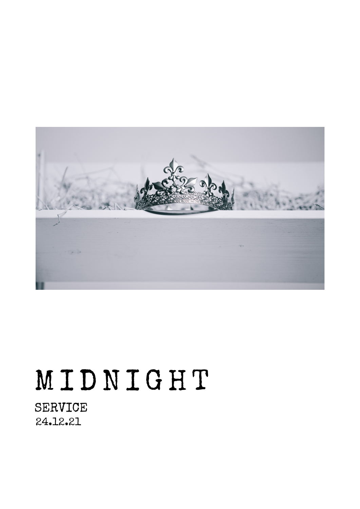

# M I D N I G H T

SERVICE 24.12.21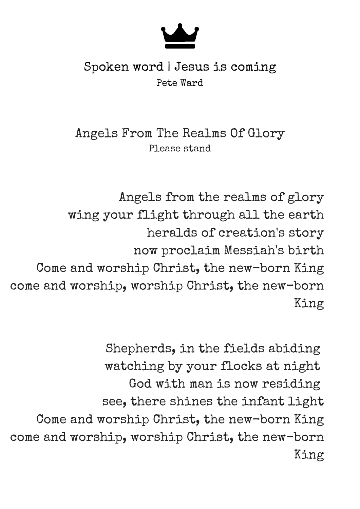

## Spoken word | Jesus is coming Pete Ward

Angels From The Realms Of Glory Please stand

Angels from the realms of glory wing your flight through all the earth heralds of creation's story now proclaim Messiah's birth Come and worship Christ, the new-born King come and worship, worship Christ, the new-born King

Shepherds, in the fields abiding watching by your flocks at night God with man is now residing see, there shines the infant light Come and worship Christ, the new-born King come and worship, worship Christ, the new-born King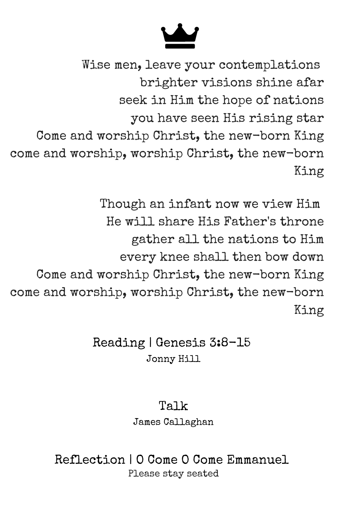Wise men, leave your contemplations brighter visions shine afar seek in Him the hope of nations you have seen His rising star Come and worship Christ, the new-born King come and worship, worship Christ, the new-born King

Though an infant now we view Him He will share His Father's throne gather all the nations to Him every knee shall then bow down Come and worship Christ, the new-born King come and worship, worship Christ, the new-born King

> Reading | Genesis 3:8-15 Jonny Hill

> > Talk James Callaghan

Reflection | O Come O Come Emmanuel Please stay seated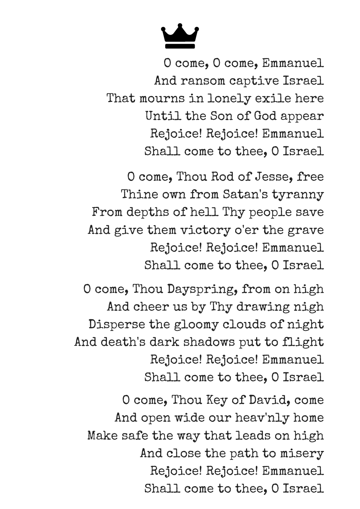O come, O come, Emmanuel And ransom captive Israel That mourns in lonely exile here Until the Son of God appear Rejoice! Rejoice! Emmanuel Shall come to thee, O Israel

O come, Thou Rod of Jesse, free Thine own from Satan's tyranny From depths of hell Thy people save And give them victory o'er the grave Rejoice! Rejoice! Emmanuel Shall come to thee, O Israel

O come, Thou Dayspring, from on high And cheer us by Thy drawing nigh Disperse the gloomy clouds of night And death's dark shadows put to flight Rejoice! Rejoice! Emmanuel Shall come to thee, O Israel

O come, Thou Key of David, come And open wide our heav'nly home Make safe the way that leads on high And close the path to misery Rejoice! Rejoice! Emmanuel Shall come to thee, O Israel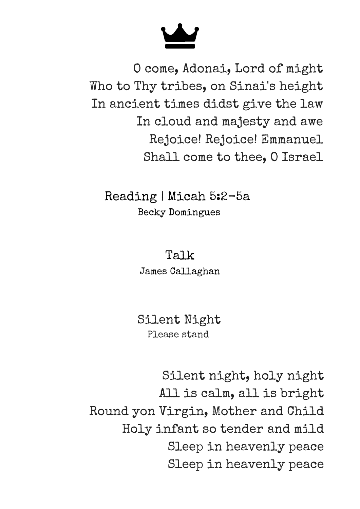

O come, Adonai, Lord of might Who to Thy tribes, on Sinai's height In ancient times didst give the law In cloud and majesty and awe Rejoice! Rejoice! Emmanuel Shall come to thee, O Israel

Reading | Micah 5:2-5a Becky Domingues

### Talk

James Callaghan

Silent Night Please stand

Silent night, holy night All is calm, all is bright Round yon Virgin, Mother and Child Holy infant so tender and mild Sleep in heavenly peace Sleep in heavenly peace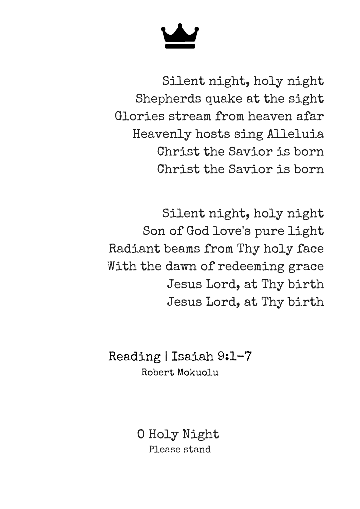Silent night, holy night Shepherds quake at the sight Glories stream from heaven afar Heavenly hosts sing Alleluia Christ the Savior is born Christ the Savior is born

Silent night, holy night Son of God love's pure light Radiant beams from Thy holy face With the dawn of redeeming grace Jesus Lord, at Thy birth Jesus Lord, at Thy birth

Reading | Isaiah 9:1-7 Robert Mokuolu

> O Holy Night Please stand